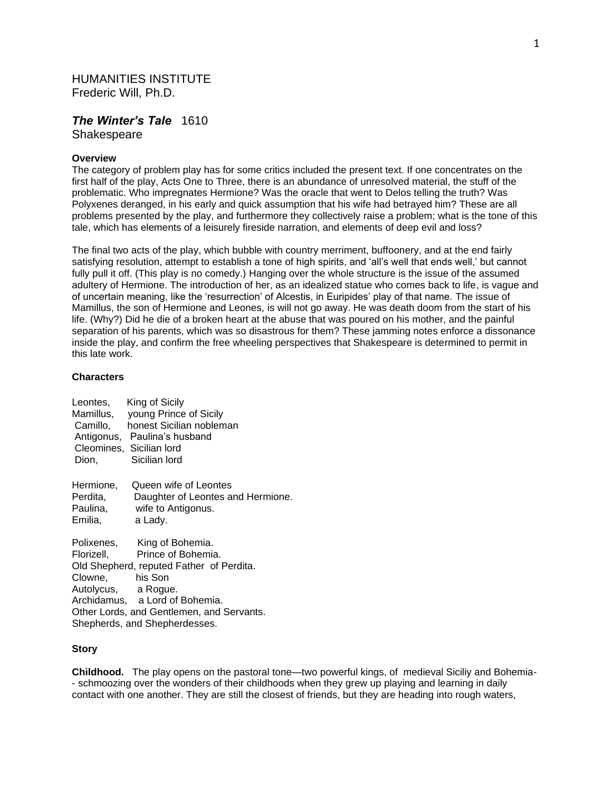# HUMANITIES INSTITUTE Frederic Will, Ph.D.

# *The Winter's Tale* 1610

**Shakespeare** 

### **Overview**

The category of problem play has for some critics included the present text. If one concentrates on the first half of the play, Acts One to Three, there is an abundance of unresolved material, the stuff of the problematic. Who impregnates Hermione? Was the oracle that went to Delos telling the truth? Was Polyxenes deranged, in his early and quick assumption that his wife had betrayed him? These are all problems presented by the play, and furthermore they collectively raise a problem; what is the tone of this tale, which has elements of a leisurely fireside narration, and elements of deep evil and loss?

The final two acts of the play, which bubble with country merriment, buffoonery, and at the end fairly satisfying resolution, attempt to establish a tone of high spirits, and 'all's well that ends well,' but cannot fully pull it off. (This play is no comedy.) Hanging over the whole structure is the issue of the assumed adultery of Hermione. The introduction of her, as an idealized statue who comes back to life, is vague and of uncertain meaning, like the 'resurrection' of Alcestis, in Euripides' play of that name. The issue of Mamillus, the son of Hermione and Leones, is will not go away. He was death doom from the start of his life. (Why?) Did he die of a broken heart at the abuse that was poured on his mother, and the painful separation of his parents, which was so disastrous for them? These jamming notes enforce a dissonance inside the play, and confirm the free wheeling perspectives that Shakespeare is determined to permit in this late work.

#### **Characters**

| Dion,                            | Leontes, King of Sicily<br>Mamillus, young Prince of Sicily<br>Camillo, honest Sicilian nobleman<br>Antigonus, Paulina's husband<br>Cleomines, Sicilian lord<br>Sicilian lord |
|----------------------------------|-------------------------------------------------------------------------------------------------------------------------------------------------------------------------------|
| Hermione,<br>Perdita,<br>Emilia, | Queen wife of Leontes<br>Daughter of Leontes and Hermione.<br>Paulina, wife to Antigonus.<br>a Lady.                                                                          |
|                                  | Polixenes, King of Bohemia.<br>Florizell, Prince of Bohemia.<br>Old Shepherd, reputed Father of Perdita.                                                                      |
| Clowne, his Son                  |                                                                                                                                                                               |
| Autolycus, a Rogue.              |                                                                                                                                                                               |
|                                  | Archidamus, a Lord of Bohemia.                                                                                                                                                |
|                                  | Other Lords, and Gentlemen, and Servants.                                                                                                                                     |
|                                  | Shepherds, and Shepherdesses.                                                                                                                                                 |

#### **Story**

**Childhood.** The play opens on the pastoral tone—two powerful kings, of medieval Siciliy and Bohemia- - schmoozing over the wonders of their childhoods when they grew up playing and learning in daily contact with one another. They are still the closest of friends, but they are heading into rough waters,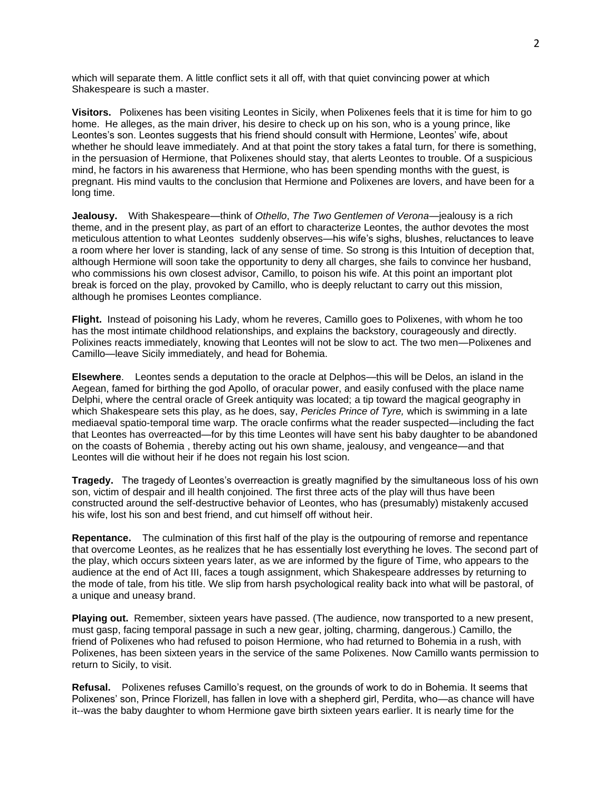which will separate them. A little conflict sets it all off, with that quiet convincing power at which Shakespeare is such a master.

**Visitors.** Polixenes has been visiting Leontes in Sicily, when Polixenes feels that it is time for him to go home. He alleges, as the main driver, his desire to check up on his son, who is a young prince, like Leontes's son. Leontes suggests that his friend should consult with Hermione, Leontes' wife, about whether he should leave immediately. And at that point the story takes a fatal turn, for there is something, in the persuasion of Hermione, that Polixenes should stay, that alerts Leontes to trouble. Of a suspicious mind, he factors in his awareness that Hermione, who has been spending months with the guest, is pregnant. His mind vaults to the conclusion that Hermione and Polixenes are lovers, and have been for a long time.

**Jealousy.** With Shakespeare—think of *Othello*, *The Two Gentlemen of Verona*—jealousy is a rich theme, and in the present play, as part of an effort to characterize Leontes, the author devotes the most meticulous attention to what Leontes suddenly observes—his wife's sighs, blushes, reluctances to leave a room where her lover is standing, lack of any sense of time. So strong is this Intuition of deception that, although Hermione will soon take the opportunity to deny all charges, she fails to convince her husband, who commissions his own closest advisor, Camillo, to poison his wife. At this point an important plot break is forced on the play, provoked by Camillo, who is deeply reluctant to carry out this mission, although he promises Leontes compliance.

**Flight.** Instead of poisoning his Lady, whom he reveres, Camillo goes to Polixenes, with whom he too has the most intimate childhood relationships, and explains the backstory, courageously and directly. Polixines reacts immediately, knowing that Leontes will not be slow to act. The two men—Polixenes and Camillo—leave Sicily immediately, and head for Bohemia.

**Elsewhere**. Leontes sends a deputation to the oracle at Delphos—this will be Delos, an island in the Aegean, famed for birthing the god Apollo, of oracular power, and easily confused with the place name Delphi, where the central oracle of Greek antiquity was located; a tip toward the magical geography in which Shakespeare sets this play, as he does, say, *Pericles Prince of Tyre,* which is swimming in a late mediaeval spatio-temporal time warp. The oracle confirms what the reader suspected—including the fact that Leontes has overreacted—for by this time Leontes will have sent his baby daughter to be abandoned on the coasts of Bohemia , thereby acting out his own shame, jealousy, and vengeance—and that Leontes will die without heir if he does not regain his lost scion.

**Tragedy.** The tragedy of Leontes's overreaction is greatly magnified by the simultaneous loss of his own son, victim of despair and ill health conjoined. The first three acts of the play will thus have been constructed around the self-destructive behavior of Leontes, who has (presumably) mistakenly accused his wife, lost his son and best friend, and cut himself off without heir.

**Repentance.** The culmination of this first half of the play is the outpouring of remorse and repentance that overcome Leontes, as he realizes that he has essentially lost everything he loves. The second part of the play, which occurs sixteen years later, as we are informed by the figure of Time, who appears to the audience at the end of Act III, faces a tough assignment, which Shakespeare addresses by returning to the mode of tale, from his title. We slip from harsh psychological reality back into what will be pastoral, of a unique and uneasy brand.

**Playing out.** Remember, sixteen years have passed. (The audience, now transported to a new present, must gasp, facing temporal passage in such a new gear, jolting, charming, dangerous.) Camillo, the friend of Polixenes who had refused to poison Hermione, who had returned to Bohemia in a rush, with Polixenes, has been sixteen years in the service of the same Polixenes. Now Camillo wants permission to return to Sicily, to visit.

**Refusal.** Polixenes refuses Camillo's request, on the grounds of work to do in Bohemia. It seems that Polixenes' son, Prince Florizell, has fallen in love with a shepherd girl, Perdita, who—as chance will have it--was the baby daughter to whom Hermione gave birth sixteen years earlier. It is nearly time for the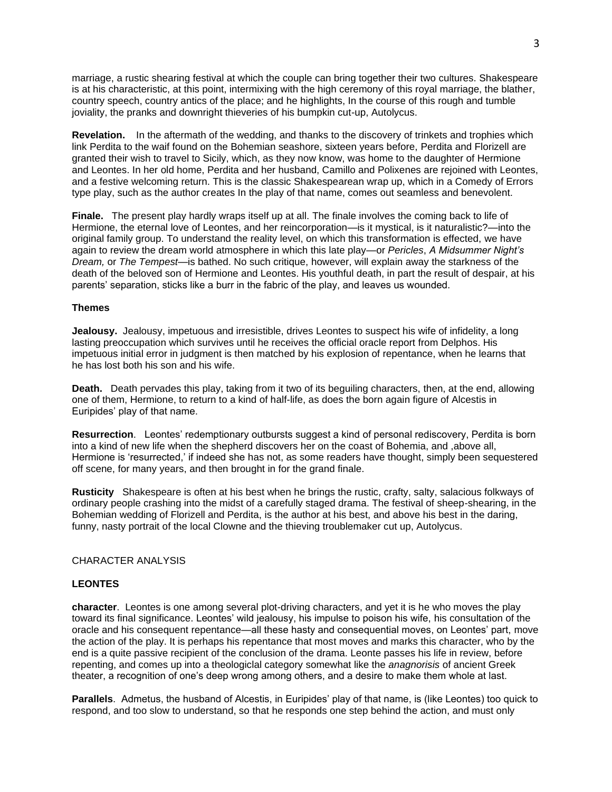marriage, a rustic shearing festival at which the couple can bring together their two cultures. Shakespeare is at his characteristic, at this point, intermixing with the high ceremony of this royal marriage, the blather, country speech, country antics of the place; and he highlights, In the course of this rough and tumble joviality, the pranks and downright thieveries of his bumpkin cut-up, Autolycus.

**Revelation.** In the aftermath of the wedding, and thanks to the discovery of trinkets and trophies which link Perdita to the waif found on the Bohemian seashore, sixteen years before, Perdita and Florizell are granted their wish to travel to Sicily, which, as they now know, was home to the daughter of Hermione and Leontes. In her old home, Perdita and her husband, Camillo and Polixenes are rejoined with Leontes, and a festive welcoming return. This is the classic Shakespearean wrap up, which in a Comedy of Errors type play, such as the author creates In the play of that name, comes out seamless and benevolent.

**Finale.** The present play hardly wraps itself up at all. The finale involves the coming back to life of Hermione, the eternal love of Leontes, and her reincorporation—is it mystical, is it naturalistic?—into the original family group. To understand the reality level, on which this transformation is effected, we have again to review the dream world atmosphere in which this late play—or *Pericles*, *A Midsummer Night's Dream,* or *The Tempest*—is bathed. No such critique, however, will explain away the starkness of the death of the beloved son of Hermione and Leontes. His youthful death, in part the result of despair, at his parents' separation, sticks like a burr in the fabric of the play, and leaves us wounded.

#### **Themes**

**Jealousy.** Jealousy, impetuous and irresistible, drives Leontes to suspect his wife of infidelity, a long lasting preoccupation which survives until he receives the official oracle report from Delphos. His impetuous initial error in judgment is then matched by his explosion of repentance, when he learns that he has lost both his son and his wife.

**Death.** Death pervades this play, taking from it two of its beguiling characters, then, at the end, allowing one of them, Hermione, to return to a kind of half-life, as does the born again figure of Alcestis in Euripides' play of that name.

**Resurrection**. Leontes' redemptionary outbursts suggest a kind of personal rediscovery, Perdita is born into a kind of new life when the shepherd discovers her on the coast of Bohemia, and ,above all, Hermione is 'resurrected,' if indeed she has not, as some readers have thought, simply been sequestered off scene, for many years, and then brought in for the grand finale.

**Rusticity** Shakespeare is often at his best when he brings the rustic, crafty, salty, salacious folkways of ordinary people crashing into the midst of a carefully staged drama. The festival of sheep-shearing, in the Bohemian wedding of Florizell and Perdita, is the author at his best, and above his best in the daring, funny, nasty portrait of the local Clowne and the thieving troublemaker cut up, Autolycus.

## CHARACTER ANALYSIS

#### **LEONTES**

**character**. Leontes is one among several plot-driving characters, and yet it is he who moves the play toward its final significance. Leontes' wild jealousy, his impulse to poison his wife, his consultation of the oracle and his consequent repentance—all these hasty and consequential moves, on Leontes' part, move the action of the play. It is perhaps his repentance that most moves and marks this character, who by the end is a quite passive recipient of the conclusion of the drama. Leonte passes his life in review, before repenting, and comes up into a theologiclal category somewhat like the *anagnorisis* of ancient Greek theater, a recognition of one's deep wrong among others, and a desire to make them whole at last.

**Parallels**. Admetus, the husband of Alcestis, in Euripides' play of that name, is (like Leontes) too quick to respond, and too slow to understand, so that he responds one step behind the action, and must only